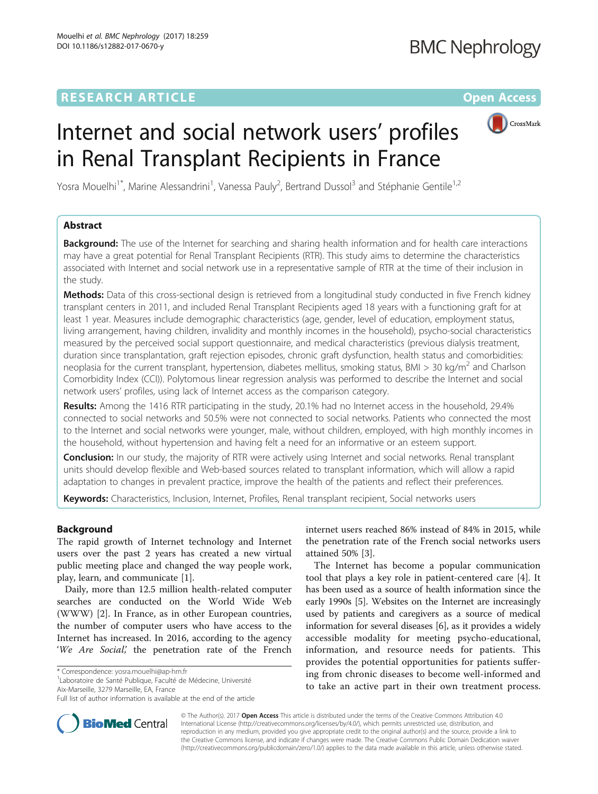# **RESEARCH ARTICLE Example 2014 12:30 The Contract of Contract ACCESS**



# Internet and social network users' profiles in Renal Transplant Recipients in France

Yosra Mouelhi<sup>1\*</sup>, Marine Alessandrini<sup>1</sup>, Vanessa Pauly<sup>2</sup>, Bertrand Dussol<sup>3</sup> and Stéphanie Gentile<sup>1,2</sup>

# Abstract

**Background:** The use of the Internet for searching and sharing health information and for health care interactions may have a great potential for Renal Transplant Recipients (RTR). This study aims to determine the characteristics associated with Internet and social network use in a representative sample of RTR at the time of their inclusion in the study.

Methods: Data of this cross-sectional design is retrieved from a longitudinal study conducted in five French kidney transplant centers in 2011, and included Renal Transplant Recipients aged 18 years with a functioning graft for at least 1 year. Measures include demographic characteristics (age, gender, level of education, employment status, living arrangement, having children, invalidity and monthly incomes in the household), psycho-social characteristics measured by the perceived social support questionnaire, and medical characteristics (previous dialysis treatment, duration since transplantation, graft rejection episodes, chronic graft dysfunction, health status and comorbidities: neoplasia for the current transplant, hypertension, diabetes mellitus, smoking status, BMI > 30 kg/m<sup>2</sup> and Charlson Comorbidity Index (CCI)). Polytomous linear regression analysis was performed to describe the Internet and social network users' profiles, using lack of Internet access as the comparison category.

Results: Among the 1416 RTR participating in the study, 20.1% had no Internet access in the household, 29.4% connected to social networks and 50.5% were not connected to social networks. Patients who connected the most to the Internet and social networks were younger, male, without children, employed, with high monthly incomes in the household, without hypertension and having felt a need for an informative or an esteem support.

**Conclusion:** In our study, the majority of RTR were actively using Internet and social networks. Renal transplant units should develop flexible and Web-based sources related to transplant information, which will allow a rapid adaptation to changes in prevalent practice, improve the health of the patients and reflect their preferences.

Keywords: Characteristics, Inclusion, Internet, Profiles, Renal transplant recipient, Social networks users

# Background

The rapid growth of Internet technology and Internet users over the past 2 years has created a new virtual public meeting place and changed the way people work, play, learn, and communicate [[1](#page-6-0)].

Daily, more than 12.5 million health-related computer searches are conducted on the World Wide Web (WWW) [[2](#page-6-0)]. In France, as in other European countries, the number of computer users who have access to the Internet has increased. In 2016, according to the agency 'We Are Social', the penetration rate of the French

\* Correspondence: [yosra.mouelhi@ap-hm.fr](mailto:yosra.mouelhi@ap-hm.fr) <sup>1</sup>

<sup>1</sup> Laboratoire de Santé Publique, Faculté de Médecine, Université Aix-Marseille, 3279 Marseille, EA, France

internet users reached 86% instead of 84% in 2015, while the penetration rate of the French social networks users attained 50% [\[3](#page-6-0)].

The Internet has become a popular communication tool that plays a key role in patient-centered care [\[4](#page-6-0)]. It has been used as a source of health information since the early 1990s [[5](#page-6-0)]. Websites on the Internet are increasingly used by patients and caregivers as a source of medical information for several diseases [\[6\]](#page-6-0), as it provides a widely accessible modality for meeting psycho-educational, information, and resource needs for patients. This provides the potential opportunities for patients suffering from chronic diseases to become well-informed and to take an active part in their own treatment process.



© The Author(s). 2017 **Open Access** This article is distributed under the terms of the Creative Commons Attribution 4.0 International License [\(http://creativecommons.org/licenses/by/4.0/](http://creativecommons.org/licenses/by/4.0/)), which permits unrestricted use, distribution, and reproduction in any medium, provided you give appropriate credit to the original author(s) and the source, provide a link to the Creative Commons license, and indicate if changes were made. The Creative Commons Public Domain Dedication waiver [\(http://creativecommons.org/publicdomain/zero/1.0/](http://creativecommons.org/publicdomain/zero/1.0/)) applies to the data made available in this article, unless otherwise stated.

Full list of author information is available at the end of the article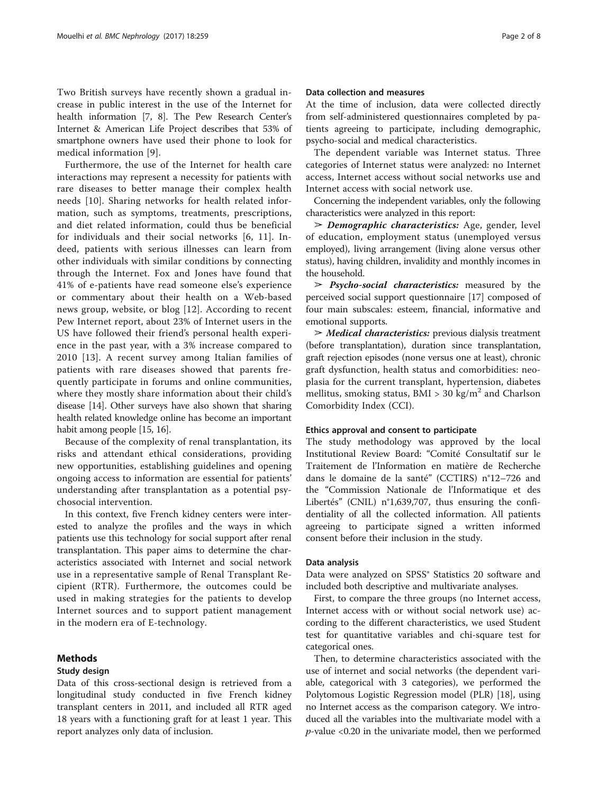Two British surveys have recently shown a gradual increase in public interest in the use of the Internet for health information [[7](#page-6-0), [8](#page-6-0)]. The Pew Research Center's Internet & American Life Project describes that 53% of smartphone owners have used their phone to look for medical information [\[9\]](#page-6-0).

Furthermore, the use of the Internet for health care interactions may represent a necessity for patients with rare diseases to better manage their complex health needs [[10](#page-6-0)]. Sharing networks for health related information, such as symptoms, treatments, prescriptions, and diet related information, could thus be beneficial for individuals and their social networks [[6](#page-6-0), [11](#page-6-0)]. Indeed, patients with serious illnesses can learn from other individuals with similar conditions by connecting through the Internet. Fox and Jones have found that 41% of e-patients have read someone else's experience or commentary about their health on a Web-based news group, website, or blog [[12](#page-6-0)]. According to recent Pew Internet report, about 23% of Internet users in the US have followed their friend's personal health experience in the past year, with a 3% increase compared to 2010 [[13](#page-6-0)]. A recent survey among Italian families of patients with rare diseases showed that parents frequently participate in forums and online communities, where they mostly share information about their child's disease [[14](#page-6-0)]. Other surveys have also shown that sharing health related knowledge online has become an important habit among people [\[15, 16](#page-6-0)].

Because of the complexity of renal transplantation, its risks and attendant ethical considerations, providing new opportunities, establishing guidelines and opening ongoing access to information are essential for patients' understanding after transplantation as a potential psychosocial intervention.

In this context, five French kidney centers were interested to analyze the profiles and the ways in which patients use this technology for social support after renal transplantation. This paper aims to determine the characteristics associated with Internet and social network use in a representative sample of Renal Transplant Recipient (RTR). Furthermore, the outcomes could be used in making strategies for the patients to develop Internet sources and to support patient management in the modern era of E-technology.

# Methods

#### Study design

Data of this cross-sectional design is retrieved from a longitudinal study conducted in five French kidney transplant centers in 2011, and included all RTR aged 18 years with a functioning graft for at least 1 year. This report analyzes only data of inclusion.

# Data collection and measures

At the time of inclusion, data were collected directly from self-administered questionnaires completed by patients agreeing to participate, including demographic, psycho-social and medical characteristics.

The dependent variable was Internet status. Three categories of Internet status were analyzed: no Internet access, Internet access without social networks use and Internet access with social network use.

Concerning the independent variables, only the following characteristics were analyzed in this report:

 $\geq$  Demographic characteristics: Age, gender, level of education, employment status (unemployed versus employed), living arrangement (living alone versus other status), having children, invalidity and monthly incomes in the household.

 $\triangleright$  Psycho-social characteristics: measured by the perceived social support questionnaire [[17](#page-6-0)] composed of four main subscales: esteem, financial, informative and emotional supports.

➢ Medical characteristics: previous dialysis treatment (before transplantation), duration since transplantation, graft rejection episodes (none versus one at least), chronic graft dysfunction, health status and comorbidities: neoplasia for the current transplant, hypertension, diabetes mellitus, smoking status,  $BMI > 30$  kg/m<sup>2</sup> and Charlson Comorbidity Index (CCI).

#### Ethics approval and consent to participate

The study methodology was approved by the local Institutional Review Board: "Comité Consultatif sur le Traitement de l'Information en matière de Recherche dans le domaine de la santé" (CCTIRS) n°12–726 and the "Commission Nationale de l'Informatique et des Libertés" (CNIL) n°1,639,707, thus ensuring the confidentiality of all the collected information. All patients agreeing to participate signed a written informed consent before their inclusion in the study.

#### Data analysis

Data were analyzed on SPSS® Statistics 20 software and included both descriptive and multivariate analyses.

First, to compare the three groups (no Internet access, Internet access with or without social network use) according to the different characteristics, we used Student test for quantitative variables and chi-square test for categorical ones.

Then, to determine characteristics associated with the use of internet and social networks (the dependent variable, categorical with 3 categories), we performed the Polytomous Logistic Regression model (PLR) [\[18\]](#page-6-0), using no Internet access as the comparison category. We introduced all the variables into the multivariate model with a  $p$ -value <0.20 in the univariate model, then we performed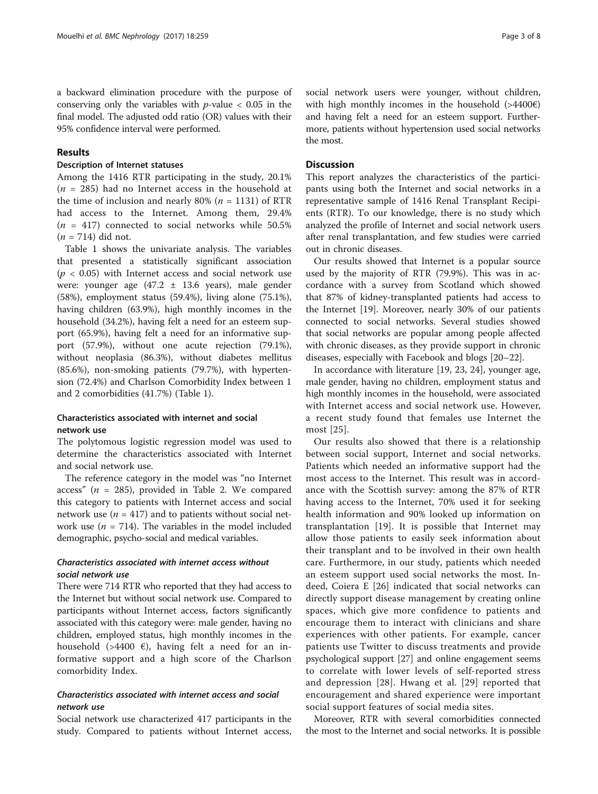a backward elimination procedure with the purpose of conserving only the variables with  $p$ -value  $< 0.05$  in the final model. The adjusted odd ratio (OR) values with their 95% confidence interval were performed.

# Results

# Description of Internet statuses

Among the 1416 RTR participating in the study, 20.1%  $(n = 285)$  had no Internet access in the household at the time of inclusion and nearly 80% ( $n = 1131$ ) of RTR had access to the Internet. Among them, 29.4%  $(n = 417)$  connected to social networks while 50.5%  $(n = 714)$  did not.

Table [1](#page-3-0) shows the univariate analysis. The variables that presented a statistically significant association  $(p < 0.05)$  with Internet access and social network use were: younger age  $(47.2 \pm 13.6 \text{ years})$ , male gender (58%), employment status (59.4%), living alone (75.1%), having children (63.9%), high monthly incomes in the household (34.2%), having felt a need for an esteem support (65.9%), having felt a need for an informative support (57.9%), without one acute rejection (79.1%), without neoplasia (86.3%), without diabetes mellitus (85.6%), non-smoking patients (79.7%), with hypertension (72.4%) and Charlson Comorbidity Index between 1 and 2 comorbidities (41.7%) (Table [1](#page-3-0)).

#### Characteristics associated with internet and social network use

The polytomous logistic regression model was used to determine the characteristics associated with Internet and social network use.

The reference category in the model was "no Internet access" ( $n = 285$ ), provided in Table [2.](#page-4-0) We compared this category to patients with Internet access and social network use ( $n = 417$ ) and to patients without social network use ( $n = 714$ ). The variables in the model included demographic, psycho-social and medical variables.

# Characteristics associated with internet access without social network use

There were 714 RTR who reported that they had access to the Internet but without social network use. Compared to participants without Internet access, factors significantly associated with this category were: male gender, having no children, employed status, high monthly incomes in the household (>4400  $\epsilon$ ), having felt a need for an informative support and a high score of the Charlson comorbidity Index.

# Characteristics associated with internet access and social network use

Social network use characterized 417 participants in the study. Compared to patients without Internet access,

### **Discussion**

This report analyzes the characteristics of the participants using both the Internet and social networks in a representative sample of 1416 Renal Transplant Recipients (RTR). To our knowledge, there is no study which analyzed the profile of Internet and social network users after renal transplantation, and few studies were carried out in chronic diseases.

Our results showed that Internet is a popular source used by the majority of RTR (79.9%). This was in accordance with a survey from Scotland which showed that 87% of kidney-transplanted patients had access to the Internet [[19\]](#page-6-0). Moreover, nearly 30% of our patients connected to social networks. Several studies showed that social networks are popular among people affected with chronic diseases, as they provide support in chronic diseases, especially with Facebook and blogs [[20](#page-6-0)–[22](#page-6-0)].

In accordance with literature [\[19](#page-6-0), [23](#page-6-0), [24](#page-6-0)], younger age, male gender, having no children, employment status and high monthly incomes in the household, were associated with Internet access and social network use. However, a recent study found that females use Internet the most [[25](#page-6-0)].

Our results also showed that there is a relationship between social support, Internet and social networks. Patients which needed an informative support had the most access to the Internet. This result was in accordance with the Scottish survey: among the 87% of RTR having access to the Internet, 70% used it for seeking health information and 90% looked up information on transplantation [[19\]](#page-6-0). It is possible that Internet may allow those patients to easily seek information about their transplant and to be involved in their own health care. Furthermore, in our study, patients which needed an esteem support used social networks the most. Indeed, Coiera E [[26\]](#page-6-0) indicated that social networks can directly support disease management by creating online spaces, which give more confidence to patients and encourage them to interact with clinicians and share experiences with other patients. For example, cancer patients use Twitter to discuss treatments and provide psychological support [\[27\]](#page-6-0) and online engagement seems to correlate with lower levels of self-reported stress and depression [\[28](#page-6-0)]. Hwang et al. [[29](#page-6-0)] reported that encouragement and shared experience were important social support features of social media sites.

Moreover, RTR with several comorbidities connected the most to the Internet and social networks. It is possible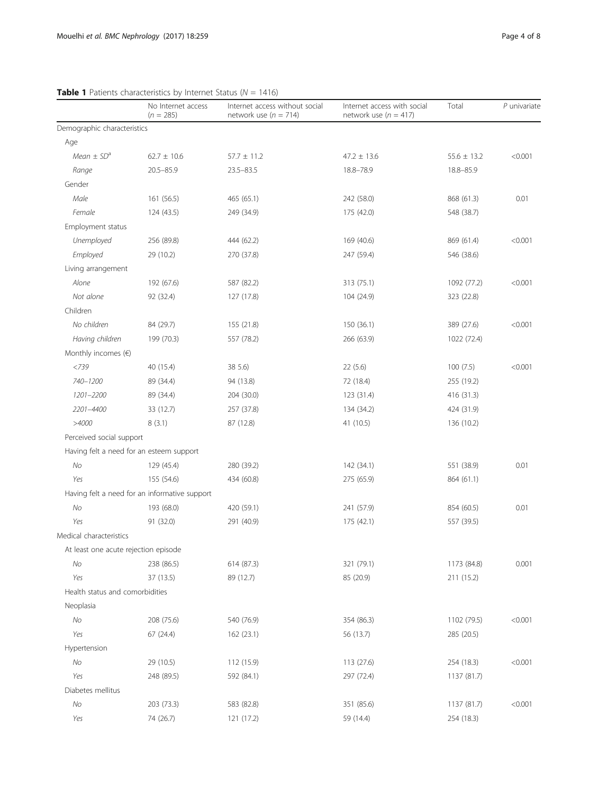|                                          | No Internet access<br>$(n = 285)$             | Internet access without social<br>network use ( $n = 714$ ) | Internet access with social<br>network use ( $n = 417$ ) | Total           | P univariate |
|------------------------------------------|-----------------------------------------------|-------------------------------------------------------------|----------------------------------------------------------|-----------------|--------------|
| Demographic characteristics              |                                               |                                                             |                                                          |                 |              |
| Age                                      |                                               |                                                             |                                                          |                 |              |
| Mean $\pm$ SD <sup>a</sup>               | $62.7 \pm 10.6$                               | $57.7 \pm 11.2$                                             | $47.2 \pm 13.6$                                          | $55.6 \pm 13.2$ | < 0.001      |
| Range                                    | $20.5 - 85.9$                                 | $23.5 - 83.5$                                               | 18.8-78.9                                                | 18.8-85.9       |              |
| Gender                                   |                                               |                                                             |                                                          |                 |              |
| Male                                     | 161 (56.5)                                    | 465 (65.1)                                                  | 242 (58.0)                                               | 868 (61.3)      | 0.01         |
| Female                                   | 124 (43.5)                                    | 249 (34.9)                                                  | 175 (42.0)                                               | 548 (38.7)      |              |
| Employment status                        |                                               |                                                             |                                                          |                 |              |
| Unemployed                               | 256 (89.8)                                    | 444 (62.2)                                                  | 169 (40.6)                                               | 869 (61.4)      | < 0.001      |
| Employed                                 | 29 (10.2)                                     | 270 (37.8)                                                  | 247 (59.4)                                               | 546 (38.6)      |              |
| Living arrangement                       |                                               |                                                             |                                                          |                 |              |
| Alone                                    | 192 (67.6)                                    | 587 (82.2)                                                  | 313 (75.1)                                               | 1092 (77.2)     | < 0.001      |
| Not alone                                | 92 (32.4)                                     | 127 (17.8)                                                  | 104 (24.9)                                               | 323 (22.8)      |              |
| Children                                 |                                               |                                                             |                                                          |                 |              |
| No children                              | 84 (29.7)                                     | 155 (21.8)                                                  | 150 (36.1)                                               | 389 (27.6)      | < 0.001      |
| Having children                          | 199 (70.3)                                    | 557 (78.2)                                                  | 266 (63.9)                                               | 1022 (72.4)     |              |
| Monthly incomes $(\epsilon)$             |                                               |                                                             |                                                          |                 |              |
| <739                                     | 40 (15.4)                                     | 38 5.6)                                                     | 22(5.6)                                                  | 100(7.5)        | < 0.001      |
| 740-1200                                 | 89 (34.4)                                     | 94 (13.8)                                                   | 72 (18.4)                                                | 255 (19.2)      |              |
| 1201-2200                                | 89 (34.4)                                     | 204 (30.0)                                                  | 123 (31.4)                                               | 416 (31.3)      |              |
| 2201-4400                                | 33 (12.7)                                     | 257 (37.8)                                                  | 134 (34.2)                                               | 424 (31.9)      |              |
| >4000                                    | 8(3.1)                                        | 87 (12.8)                                                   | 41 (10.5)                                                | 136 (10.2)      |              |
| Perceived social support                 |                                               |                                                             |                                                          |                 |              |
| Having felt a need for an esteem support |                                               |                                                             |                                                          |                 |              |
| No                                       | 129 (45.4)                                    | 280 (39.2)                                                  | 142 (34.1)                                               | 551 (38.9)      | 0.01         |
| Yes                                      | 155 (54.6)                                    | 434 (60.8)                                                  | 275 (65.9)                                               | 864 (61.1)      |              |
|                                          | Having felt a need for an informative support |                                                             |                                                          |                 |              |
| No                                       | 193 (68.0)                                    | 420 (59.1)                                                  | 241 (57.9)                                               | 854 (60.5)      | 0.01         |
| Yes                                      | 91 (32.0)                                     | 291 (40.9)                                                  | 175 (42.1)                                               | 557 (39.5)      |              |
| Medical characteristics                  |                                               |                                                             |                                                          |                 |              |
| At least one acute rejection episode     |                                               |                                                             |                                                          |                 |              |
| N <sub>O</sub>                           | 238 (86.5)                                    | 614 (87.3)                                                  | 321 (79.1)                                               | 1173 (84.8)     | 0.001        |
| Yes                                      | 37 (13.5)                                     | 89 (12.7)                                                   | 85 (20.9)                                                | 211 (15.2)      |              |
| Health status and comorbidities          |                                               |                                                             |                                                          |                 |              |
| Neoplasia                                |                                               |                                                             |                                                          |                 |              |
| No                                       | 208 (75.6)                                    | 540 (76.9)                                                  | 354 (86.3)                                               | 1102 (79.5)     | < 0.001      |
| Yes                                      | 67(24.4)                                      | 162 (23.1)                                                  | 56 (13.7)                                                | 285 (20.5)      |              |
| Hypertension                             |                                               |                                                             |                                                          |                 |              |
| No                                       | 29 (10.5)                                     | 112 (15.9)                                                  | 113 (27.6)                                               | 254 (18.3)      | < 0.001      |
| Yes                                      | 248 (89.5)                                    | 592 (84.1)                                                  | 297 (72.4)                                               | 1137 (81.7)     |              |
| Diabetes mellitus                        |                                               |                                                             |                                                          |                 |              |
| $N\!o$                                   | 203 (73.3)                                    | 583 (82.8)                                                  | 351 (85.6)                                               | 1137 (81.7)     | < 0.001      |
| Yes                                      | 74 (26.7)                                     | 121 (17.2)                                                  | 59 (14.4)                                                | 254 (18.3)      |              |

<span id="page-3-0"></span>**Table 1** Patients characteristics by Internet Status  $(N - 1416)$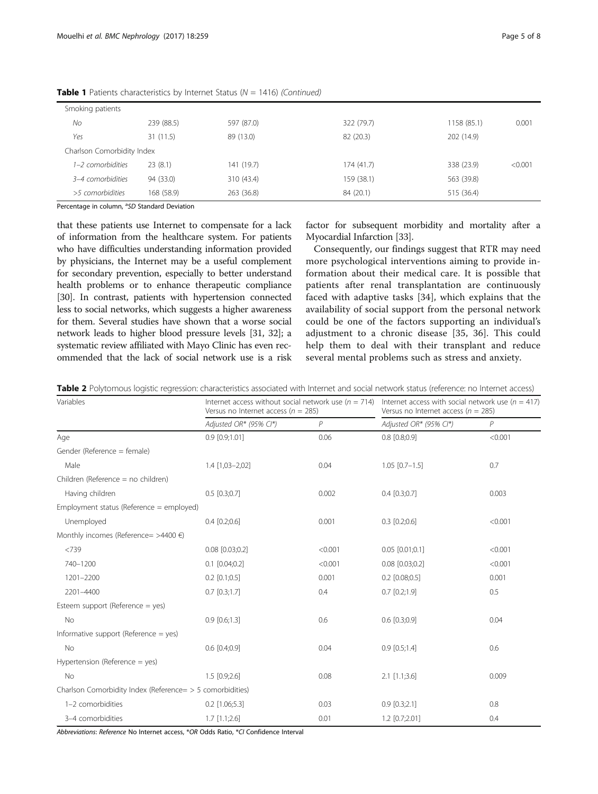| 1–2 comorbidities          | 23(8.1)    | 141 (19.7) | 174 (41.7) | 338 (23.9)  | < 0.001 |
|----------------------------|------------|------------|------------|-------------|---------|
| Charlson Comorbidity Index |            |            |            |             |         |
|                            |            |            |            |             |         |
| Yes                        | 31 (11.5)  | 89 (13.0)  | 82 (20.3)  | 202 (14.9)  |         |
| No                         | 239 (88.5) | 597 (87.0) | 322 (79.7) | 1158 (85.1) | 0.001   |
| Smoking patients           |            |            |            |             |         |

<span id="page-4-0"></span>**Table 1** Patients characteristics by Internet Status ( $N = 1416$ ) (Continued)

Percentage in column, <sup>a</sup>SD Standard Deviation

that these patients use Internet to compensate for a lack of information from the healthcare system. For patients who have difficulties understanding information provided by physicians, the Internet may be a useful complement for secondary prevention, especially to better understand health problems or to enhance therapeutic compliance [[30](#page-6-0)]. In contrast, patients with hypertension connected less to social networks, which suggests a higher awareness for them. Several studies have shown that a worse social network leads to higher blood pressure levels [[31](#page-6-0), [32\]](#page-6-0); a systematic review affiliated with Mayo Clinic has even recommended that the lack of social network use is a risk

factor for subsequent morbidity and mortality after a Myocardial Infarction [\[33\]](#page-6-0).

Consequently, our findings suggest that RTR may need more psychological interventions aiming to provide information about their medical care. It is possible that patients after renal transplantation are continuously faced with adaptive tasks [[34](#page-6-0)], which explains that the availability of social support from the personal network could be one of the factors supporting an individual's adjustment to a chronic disease [[35, 36](#page-6-0)]. This could help them to deal with their transplant and reduce several mental problems such as stress and anxiety.

Table 2 Polytomous logistic regression: characteristics associated with Internet and social network status (reference: no Internet access)

| Variables                                                 | Internet access without social network use ( $n = 714$ )<br>Versus no Internet access ( $n = 285$ ) |         | Internet access with social network use ( $n = 417$ )<br>Versus no Internet access ( $n = 285$ ) |         |
|-----------------------------------------------------------|-----------------------------------------------------------------------------------------------------|---------|--------------------------------------------------------------------------------------------------|---------|
|                                                           | Adjusted OR* (95% CI*)                                                                              | P       | Adjusted OR* (95% CI*)                                                                           | P       |
| Age                                                       | $0.9$ $[0.9;1.01]$                                                                                  | 0.06    | $0.8$ [0.8;0.9]                                                                                  | < 0.001 |
| Gender (Reference = female)                               |                                                                                                     |         |                                                                                                  |         |
| Male                                                      | 1.4 [1,03-2,02]                                                                                     | 0.04    | $1.05$ $[0.7-1.5]$                                                                               | 0.7     |
| Children (Reference = no children)                        |                                                                                                     |         |                                                                                                  |         |
| Having children                                           | $0.5$ [0.3;0.7]                                                                                     | 0.002   | $0.4$ [0.3;0.7]                                                                                  | 0.003   |
| Employment status (Reference = employed)                  |                                                                                                     |         |                                                                                                  |         |
| Unemployed                                                | $0.4$ [0.2;0.6]                                                                                     | 0.001   | $0.3$ [0.2;0.6]                                                                                  | < 0.001 |
| Monthly incomes (Reference= >4400 $\in$ )                 |                                                                                                     |         |                                                                                                  |         |
| <739                                                      | $0.08$ $[0.03;0.2]$                                                                                 | < 0.001 | $0.05$ $[0.01;0.1]$                                                                              | < 0.001 |
| 740-1200                                                  | $0.1$ $[0.04;0.2]$                                                                                  | < 0.001 | 0.08 [0.03;0.2]                                                                                  | < 0.001 |
| 1201-2200                                                 | $0.2$ [0.1;0.5]                                                                                     | 0.001   | $0.2$ [0.08;0.5]                                                                                 | 0.001   |
| 2201-4400                                                 | $0.7$ [0.3;1.7]                                                                                     | 0.4     | $0.7$ $[0.2;1.9]$                                                                                | 0.5     |
| Esteem support (Reference = yes)                          |                                                                                                     |         |                                                                                                  |         |
| <b>No</b>                                                 | $0.9$ [0.6;1.3]                                                                                     | 0.6     | $0.6$ [0.3;0.9]                                                                                  | 0.04    |
| Informative support (Reference = yes)                     |                                                                                                     |         |                                                                                                  |         |
| <b>No</b>                                                 | $0.6$ [0.4;0.9]                                                                                     | 0.04    | $0.9$ [0.5;1.4]                                                                                  | 0.6     |
| Hypertension (Reference = yes)                            |                                                                                                     |         |                                                                                                  |         |
| No                                                        | $1.5$ [0.9;2.6]                                                                                     | 0.08    | $2.1$ [1.1;3.6]                                                                                  | 0.009   |
| Charlson Comorbidity Index (Reference= > 5 comorbidities) |                                                                                                     |         |                                                                                                  |         |
| 1-2 comorbidities                                         | $0.2$ [1.06;5.3]                                                                                    | 0.03    | $0.9$ $[0.3;2.1]$                                                                                | 0.8     |
| 3-4 comorbidities                                         | $1.7$ [1.1;2.6]                                                                                     | 0.01    | $1.2$ [0.7;2.01]                                                                                 | 0.4     |

Abbreviations: Reference No Internet access, \*OR Odds Ratio, \*CI Confidence Interval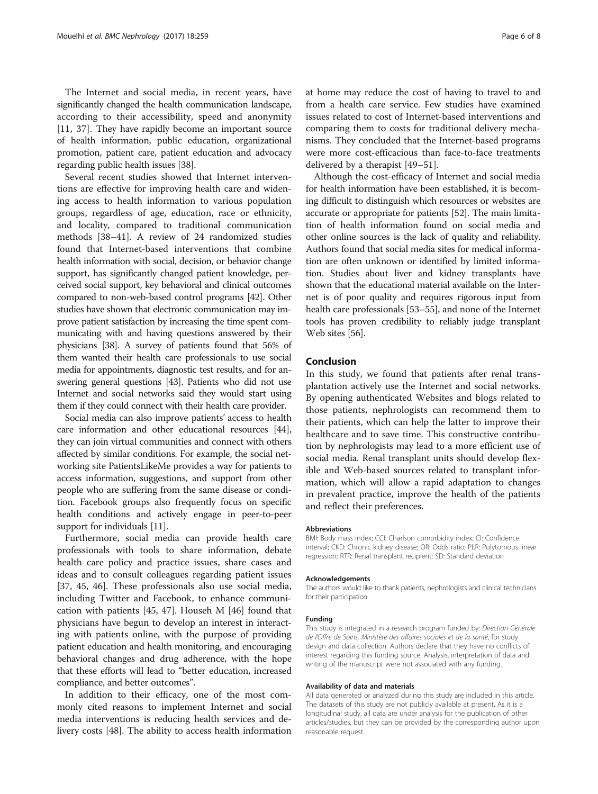The Internet and social media, in recent years, have significantly changed the health communication landscape, according to their accessibility, speed and anonymity [[11, 37](#page-6-0)]. They have rapidly become an important source of health information, public education, organizational promotion, patient care, patient education and advocacy regarding public health issues [\[38\]](#page-6-0).

Several recent studies showed that Internet interventions are effective for improving health care and widening access to health information to various population groups, regardless of age, education, race or ethnicity, and locality, compared to traditional communication methods [\[38](#page-6-0)–[41\]](#page-7-0). A review of 24 randomized studies found that Internet-based interventions that combine health information with social, decision, or behavior change support, has significantly changed patient knowledge, perceived social support, key behavioral and clinical outcomes compared to non-web-based control programs [\[42\]](#page-7-0). Other studies have shown that electronic communication may improve patient satisfaction by increasing the time spent communicating with and having questions answered by their physicians [\[38\]](#page-6-0). A survey of patients found that 56% of them wanted their health care professionals to use social media for appointments, diagnostic test results, and for answering general questions [\[43\]](#page-7-0). Patients who did not use Internet and social networks said they would start using them if they could connect with their health care provider.

Social media can also improve patients' access to health care information and other educational resources [[44](#page-7-0)], they can join virtual communities and connect with others affected by similar conditions. For example, the social networking site PatientsLikeMe provides a way for patients to access information, suggestions, and support from other people who are suffering from the same disease or condition. Facebook groups also frequently focus on specific health conditions and actively engage in peer-to-peer support for individuals [[11](#page-6-0)].

Furthermore, social media can provide health care professionals with tools to share information, debate health care policy and practice issues, share cases and ideas and to consult colleagues regarding patient issues [[37,](#page-6-0) [45](#page-7-0), [46](#page-7-0)]. These professionals also use social media, including Twitter and Facebook, to enhance communication with patients [[45](#page-7-0), [47\]](#page-7-0). Househ M [[46](#page-7-0)] found that physicians have begun to develop an interest in interacting with patients online, with the purpose of providing patient education and health monitoring, and encouraging behavioral changes and drug adherence, with the hope that these efforts will lead to "better education, increased compliance, and better outcomes".

In addition to their efficacy, one of the most commonly cited reasons to implement Internet and social media interventions is reducing health services and delivery costs [[48](#page-7-0)]. The ability to access health information at home may reduce the cost of having to travel to and from a health care service. Few studies have examined issues related to cost of Internet-based interventions and comparing them to costs for traditional delivery mechanisms. They concluded that the Internet-based programs were more cost-efficacious than face-to-face treatments delivered by a therapist [\[49](#page-7-0)–[51\]](#page-7-0).

Although the cost-efficacy of Internet and social media for health information have been established, it is becoming difficult to distinguish which resources or websites are accurate or appropriate for patients [[52](#page-7-0)]. The main limitation of health information found on social media and other online sources is the lack of quality and reliability. Authors found that social media sites for medical information are often unknown or identified by limited information. Studies about liver and kidney transplants have shown that the educational material available on the Internet is of poor quality and requires rigorous input from health care professionals [\[53](#page-7-0)–[55](#page-7-0)], and none of the Internet tools has proven credibility to reliably judge transplant Web sites [\[56\]](#page-7-0).

# Conclusion

In this study, we found that patients after renal transplantation actively use the Internet and social networks. By opening authenticated Websites and blogs related to those patients, nephrologists can recommend them to their patients, which can help the latter to improve their healthcare and to save time. This constructive contribution by nephrologists may lead to a more efficient use of social media. Renal transplant units should develop flexible and Web-based sources related to transplant information, which will allow a rapid adaptation to changes in prevalent practice, improve the health of the patients and reflect their preferences.

# Abbreviations

BMI: Body mass index; CCI: Charlson comorbidity index; CI: Confidence interval; CKD: Chronic kidney disease; OR: Odds ratio; PLR: Polytomous linear regression; RTR: Renal transplant recipient; SD: Standard deviation

#### Acknowledgements

The authors would like to thank patients, nephrologists and clinical technicians for their participation.

#### Funding

This study is integrated in a research program funded by: Direction Générale de l'Offre de Soins, Ministère des affaires sociales et de la santé, for study design and data collection. Authors declare that they have no conflicts of interest regarding this funding source. Analysis, interpretation of data and writing of the manuscript were not associated with any funding.

#### Availability of data and materials

All data generated or analyzed during this study are included in this article. The datasets of this study are not publicly available at present. As it is a longitudinal study, all data are under analysis for the publication of other articles/studies, but they can be provided by the corresponding author upon reasonable request.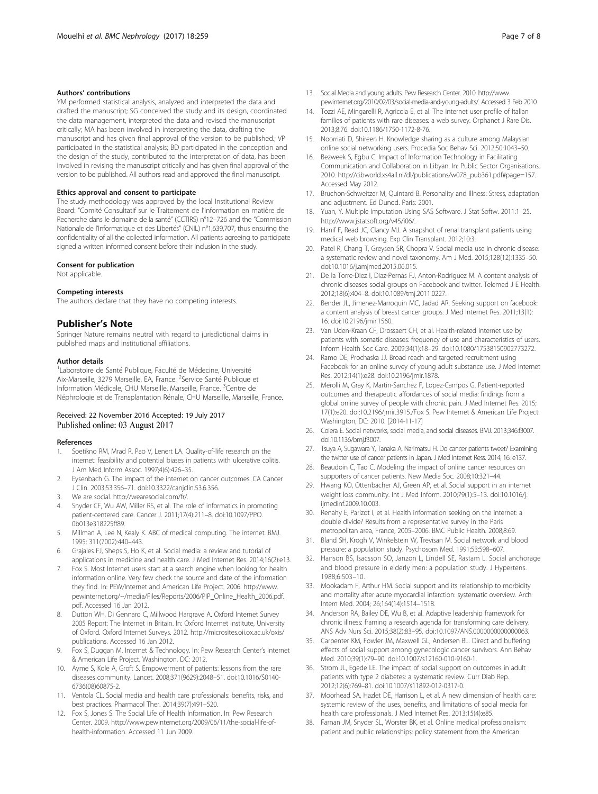#### <span id="page-6-0"></span>Authors' contributions

YM performed statistical analysis, analyzed and interpreted the data and drafted the manuscript; SG conceived the study and its design, coordinated the data management, interpreted the data and revised the manuscript critically; MA has been involved in interpreting the data, drafting the manuscript and has given final approval of the version to be published.; VP participated in the statistical analysis; BD participated in the conception and the design of the study, contributed to the interpretation of data, has been involved in revising the manuscript critically and has given final approval of the version to be published. All authors read and approved the final manuscript.

#### Ethics approval and consent to participate

The study methodology was approved by the local Institutional Review Board: "Comité Consultatif sur le Traitement de l'Information en matière de Recherche dans le domaine de la santé" (CCTIRS) n°12–726 and the "Commission Nationale de l'Informatique et des Libertés" (CNIL) n°1,639,707, thus ensuring the confidentiality of all the collected information. All patients agreeing to participate signed a written informed consent before their inclusion in the study.

#### Consent for publication

Not applicable.

#### Competing interests

The authors declare that they have no competing interests.

# Publisher's Note

Springer Nature remains neutral with regard to jurisdictional claims in published maps and institutional affiliations.

#### Author details

<sup>1</sup> Laboratoire de Santé Publique, Faculté de Médecine, Université Aix-Marseille, 3279 Marseille, EA, France. <sup>2</sup>Service Santé Publique et Information Médicale, CHU Marseille, Marseille, France. <sup>3</sup>Centre de Néphrologie et de Transplantation Rénale, CHU Marseille, Marseille, France.

#### Received: 22 November 2016 Accepted: 19 July 2017 Published online: 03 August 2017

#### References

- 1. Soetikno RM, Mrad R, Pao V, Lenert LA. Quality-of-life research on the internet: feasibility and potential biases in patients with ulcerative colitis. J Am Med Inform Assoc. 1997;4(6):426–35.
- 2. Eysenbach G. The impact of the internet on cancer outcomes. CA Cancer J Clin. 2003;53:356–71. doi[:10.3322/canjclin.53.6.356](http://dx.doi.org/10.3322/canjclin.53.6.356).
- 3. We are social.<http://wearesocial.com/fr/>.
- 4. Snyder CF, Wu AW, Miller RS, et al. The role of informatics in promoting patient-centered care. Cancer J. 2011;17(4):211–8. doi:[10.1097/PPO.](http://dx.doi.org/10.1097/PPO.0b013e318225ff89) [0b013e318225ff89.](http://dx.doi.org/10.1097/PPO.0b013e318225ff89)
- 5. Millman A, Lee N, Kealy K. ABC of medical computing. The internet. BMJ. 1995; 311(7002):440–443.
- 6. Grajales FJ, Sheps S, Ho K, et al. Social media: a review and tutorial of applications in medicine and health care. J Med Internet Res. 2014;16(2):e13.
- Fox S. Most Internet users start at a search engine when looking for health information online. Very few check the source and date of the information they find. In: PEW/Internet and American Life Project. 2006. [http://www.](http://www.pewinternet.org/~/media/Files/Reports/2006/PIP_Online_Health_2006.pdf.pdf) [pewinternet.org/~/media/Files/Reports/2006/PIP\\_Online\\_Health\\_2006.pdf.](http://www.pewinternet.org/~/media/Files/Reports/2006/PIP_Online_Health_2006.pdf.pdf) [pdf](http://www.pewinternet.org/~/media/Files/Reports/2006/PIP_Online_Health_2006.pdf.pdf). Accessed 16 Jan 2012.
- 8. Dutton WH, Di Gennaro C, Millwood Hargrave A. Oxford Internet Survey 2005 Report: The Internet in Britain. In: Oxford Internet Institute, University of Oxford. Oxford Internet Surveys. 2012. [http://microsites.oii.ox.ac.uk/oxis/](http://microsites.oii.ox.ac.uk/oxis/publications) [publications](http://microsites.oii.ox.ac.uk/oxis/publications). Accessed 16 Jan 2012.
- Fox S, Duggan M. Internet & Technology. In: Pew Research Center's Internet & American Life Project. Washington, DC: 2012.
- 10. Ayme S, Kole A, Groft S. Empowerment of patients: lessons from the rare diseases community. Lancet. 2008;371(9629):2048–51. doi[:10.1016/S0140-](http://dx.doi.org/10.1016/S0140-6736(08)60875-2) [6736\(08\)60875-2](http://dx.doi.org/10.1016/S0140-6736(08)60875-2).
- 11. Ventola CL. Social media and health care professionals: benefits, risks, and best practices. Pharmacol Ther. 2014;39(7):491–520.
- 12. Fox S, Jones S. The Social Life of Health Information. In: Pew Research Center. 2009. [http://www.pewinternet.org/2009/06/11/the-social-life-of](http://www.pewinternet.org/2009/06/11/the-social-life-of-health-information)[health-information.](http://www.pewinternet.org/2009/06/11/the-social-life-of-health-information) Accessed 11 Jun 2009.
- 13. Social Media and young adults. Pew Research Center. 2010. [http://www.](http://www.pewinternet.org/2010/02/03/social-media-and-young-adults) [pewinternet.org/2010/02/03/social-media-and-young-adults/.](http://www.pewinternet.org/2010/02/03/social-media-and-young-adults) Accessed 3 Feb 2010.
- Tozzi AE, Mingarelli R, Agricola E, et al. The internet user profile of Italian families of patients with rare diseases: a web survey. Orphanet J Rare Dis. 2013;8:76. doi:[10.1186/1750-1172-8-76.](http://dx.doi.org/10.1186/1750-1172-8-76)
- 15. Noorriati D, Shireen H. Knowledge sharing as a culture among Malaysian online social networking users. Procedia Soc Behav Sci. 2012;50:1043–50.
- 16. Bezweek S, Egbu C. Impact of Information Technology in Facilitating Communication and Collaboration in Libyan. In: Public Sector Organisations. 2010. [http://cibworld.xs4all.nl/dl/publications/w078\\_pub361.pdf#page=157.](http://cibworld.xs4all.nl/dl/publications/w078_pub361.pdf#page=157) Accessed May 2012.
- 17. Bruchon-Schweitzer M, Quintard B. Personality and Illness: Stress, adaptation and adjustment. Ed Dunod. Paris: 2001.
- 18. Yuan, Y. Multiple Imputation Using SAS Software. J Stat Softw. 2011:1–25. [http://www.jstatsoft.org/v45/i06/.](http://www.jstatsoft.org/v45/i06/)
- 19. Hanif F, Read JC, Clancy MJ. A snapshot of renal transplant patients using medical web browsing. Exp Clin Transplant. 2012;10:3.
- 20. Patel R, Chang T, Greysen SR, Chopra V. Social media use in chronic disease: a systematic review and novel taxonomy. Am J Med. 2015;128(12):1335–50. doi[:10.1016/j.amjmed.2015.06.015.](http://dx.doi.org/10.1016/j.amjmed.2015.06.015)
- 21. De la Torre-Diez I, Diaz-Pernas FJ, Anton-Rodriguez M. A content analysis of chronic diseases social groups on Facebook and twitter. Telemed J E Health. 2012;18(6):404–8. doi:[10.1089/tmj.2011.0227.](http://dx.doi.org/10.1089/tmj.2011.0227)
- 22. Bender JL, Jimenez-Marroquin MC, Jadad AR. Seeking support on facebook: a content analysis of breast cancer groups. J Med Internet Res. 2011;13(1): 16. doi[:10.2196/jmir.1560.](http://dx.doi.org/10.2196/jmir.1560)
- 23. Van Uden-Kraan CF, Drossaert CH, et al. Health-related internet use by patients with somatic diseases: frequency of use and characteristics of users. Inform Health Soc Care. 2009;34(1):18–29. doi[:10.1080/17538150902773272.](http://dx.doi.org/10.1080/17538150902773272)
- 24. Ramo DE, Prochaska JJ, Broad reach and targeted recruitment using Facebook for an online survey of young adult substance use. J Med Internet Res. 2012;14(1):e28. doi[:10.2196/jmir.1878](http://dx.doi.org/10.2196/jmir.1878).
- 25. Merolli M, Gray K, Martin-Sanchez F, Lopez-Campos G. Patient-reported outcomes and therapeutic affordances of social media: findings from a global online survey of people with chronic pain. J Med Internet Res. 2015; 17(1):e20. doi:10.2196/jmir.3915./Fox S. Pew Internet & American Life Project. Washington, DC: 2010. [2014-11-17]
- 26. Coiera E. Social networks, social media, and social diseases. BMJ. 2013;346:f3007. doi[:10.1136/bmj.f3007.](http://dx.doi.org/10.1136/bmj.f3007)
- 27. Tsuya A, Sugawara Y, Tanaka A, Narimatsu H. Do cancer patients tweet? Examining the twitter use of cancer patients in Japan. J Med Internet Ress. 2014; 16: e137.
- 28. Beaudoin C, Tao C. Modeling the impact of online cancer resources on supporters of cancer patients. New Media Soc. 2008;10:321–44.
- 29. Hwang KO, Ottenbacher AJ, Green AP, et al. Social support in an internet weight loss community. Int J Med Inform. 2010;79(1):5–13. doi:[10.1016/j.](http://dx.doi.org/10.1016/j.ijmedinf.2009.10.003) [ijmedinf.2009.10.003](http://dx.doi.org/10.1016/j.ijmedinf.2009.10.003).
- 30. Renahy E, Parizot I, et al. Health information seeking on the internet: a double divide? Results from a representative survey in the Paris metropolitan area, France, 2005–2006. BMC Public Health. 2008;8:69.
- 31. Bland SH, Krogh V, Winkelstein W, Trevisan M. Social network and blood pressure: a population study. Psychosom Med. 1991;53:598–607.
- 32. Hanson BS, Isacsson SO, Janzon L, Lindell SE, Rastam L. Social anchorage and blood pressure in elderly men: a population study. J Hypertens. 1988;6:503–10.
- 33. Mookadam F, Arthur HM. Social support and its relationship to morbidity and mortality after acute myocardial infarction: systematic overview. Arch Intern Med. 2004; 26;164(14):1514–1518.
- 34. Anderson RA, Bailey DE, Wu B, et al. Adaptive leadership framework for chronic illness: framing a research agenda for transforming care delivery. ANS Adv Nurs Sci. 2015;38(2):83–95. doi[:10.1097/ANS.0000000000000063](http://dx.doi.org/10.1097/ANS.0000000000000063).
- 35. Carpenter KM, Fowler JM, Maxwell GL, Andersen BL. Direct and buffering effects of social support among gynecologic cancer survivors. Ann Behav Med. 2010;39(1):79–90. doi:[10.1007/s12160-010-9160-1.](http://dx.doi.org/10.1007/s12160-010-9160-1)
- 36. Strom JL, Egede LE. The impact of social support on outcomes in adult patients with type 2 diabetes: a systematic review. Curr Diab Rep. 2012;12(6):769–81. doi:[10.1007/s11892-012-0317-0](http://dx.doi.org/10.1007/s11892-012-0317-0).
- 37. Moorhead SA, Hazlet DE, Harrison L, et al. A new dimension of health care: systemic review of the uses, benefits, and limitations of social media for health care professionals. J Med Internet Res. 2013;15(4):e85.
- 38. Farnan JM, Snyder SL, Worster BK, et al. Online medical professionalism: patient and public relationships: policy statement from the American